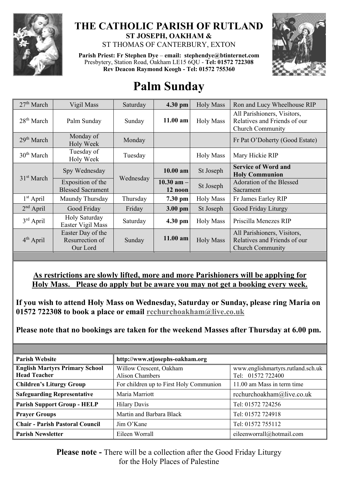

# **THE CATHOLIC PARISH OF RUTLAND ST JOSEPH, OAKHAM &**

ST THOMAS OF CANTERBURY, EXTON

**Parish Priest: Fr Stephen Dye** – **[email: stephendye@btinternet.com](mailto:email:%20%20stephendye@btinternet.com)** Presbytery, Station Road, Oakham LE15 6QU - **Tel: 01572 722308 Rev Deacon Raymond Keogh - Tel: 01572 755360**



# **Palm Sunday**

| 27 <sup>th</sup> March | Vigil Mass                                       | Saturday  | 4.30 pm                    | <b>Holy Mass</b> | Ron and Lucy Wheelhouse RIP                                                            |
|------------------------|--------------------------------------------------|-----------|----------------------------|------------------|----------------------------------------------------------------------------------------|
| $28th$ March           | Palm Sunday                                      | Sunday    | 11.00 am                   | <b>Holy Mass</b> | All Parishioners, Visitors,<br>Relatives and Friends of our<br><b>Church Community</b> |
| 29 <sup>th</sup> March | Monday of<br><b>Holy Week</b>                    | Monday    |                            |                  | Fr Pat O'Doherty (Good Estate)                                                         |
| $30th$ March           | Tuesday of<br>Holy Week                          | Tuesday   |                            | <b>Holy Mass</b> | Mary Hickie RIP                                                                        |
| 31 <sup>st</sup> March | Spy Wednesday                                    | Wednesday | $10.00$ am                 | St Joseph        | <b>Service of Word and</b><br><b>Holy Communion</b>                                    |
|                        | Exposition of the<br><b>Blessed Sacrament</b>    |           | $10.30$ am $-1$<br>12 noon | St Joseph        | Adoration of the Blessed<br>Sacrament                                                  |
| $1st$ April            | Maundy Thursday                                  | Thursday  | 7.30 pm                    | <b>Holy Mass</b> | Fr James Earley RIP                                                                    |
| $2nd$ April            | Good Friday                                      | Friday    | 3.00 pm                    | St Joseph        | Good Friday Liturgy                                                                    |
| $3rd$ April            | Holy Saturday<br>Easter Vigil Mass               | Saturday  | $4.30$ pm                  | <b>Holy Mass</b> | Priscilla Menezes RIP                                                                  |
| $4th$ April            | Easter Day of the<br>Resurrection of<br>Our Lord | Sunday    | $11.00$ am                 | <b>Holy Mass</b> | All Parishioners, Visitors,<br>Relatives and Friends of our<br><b>Church Community</b> |

## **As restrictions are slowly lifted, more and more Parishioners will be applying for Holy Mass. Please do apply but be aware you may not get a booking every week.**

**If you wish to attend Holy Mass on Wednesday, Saturday or Sunday, please ring Maria on 01572 722308 to book a place or email [rcchurchoakham@live.co.uk](mailto:rcchurchoakham@live.co.uk)**

**Please note that no bookings are taken for the weekend Masses after Thursday at 6.00 pm.**

| <b>Parish Website</b>                                        | http://www.stjosephs-oakham.org            |                                                        |  |
|--------------------------------------------------------------|--------------------------------------------|--------------------------------------------------------|--|
| <b>English Martyrs Primary School</b><br><b>Head Teacher</b> | Willow Crescent, Oakham<br>Alison Chambers | www.englishmartyrs.rutland.sch.uk<br>Tel: 01572 722400 |  |
| <b>Children's Liturgy Group</b>                              | For children up to First Holy Communion    | 11.00 am Mass in term time                             |  |
| <b>Safeguarding Representative</b>                           | Maria Marriott                             | rcchurchoakham@live.co.uk                              |  |
| <b>Parish Support Group - HELP</b>                           | <b>Hilary Davis</b>                        | Tel: 01572 724256                                      |  |
| <b>Prayer Groups</b>                                         | Martin and Barbara Black                   | Tel: 01572 724918                                      |  |
| <b>Chair - Parish Pastoral Council</b>                       | $\lim$ O'Kane                              | Tel: 01572 755112                                      |  |
| <b>Parish Newsletter</b>                                     | Eileen Worrall                             | eileenworrall@hotmail.com                              |  |

**Please note -** There will be a collection after the Good Friday Liturgy for the Holy Places of Palestine